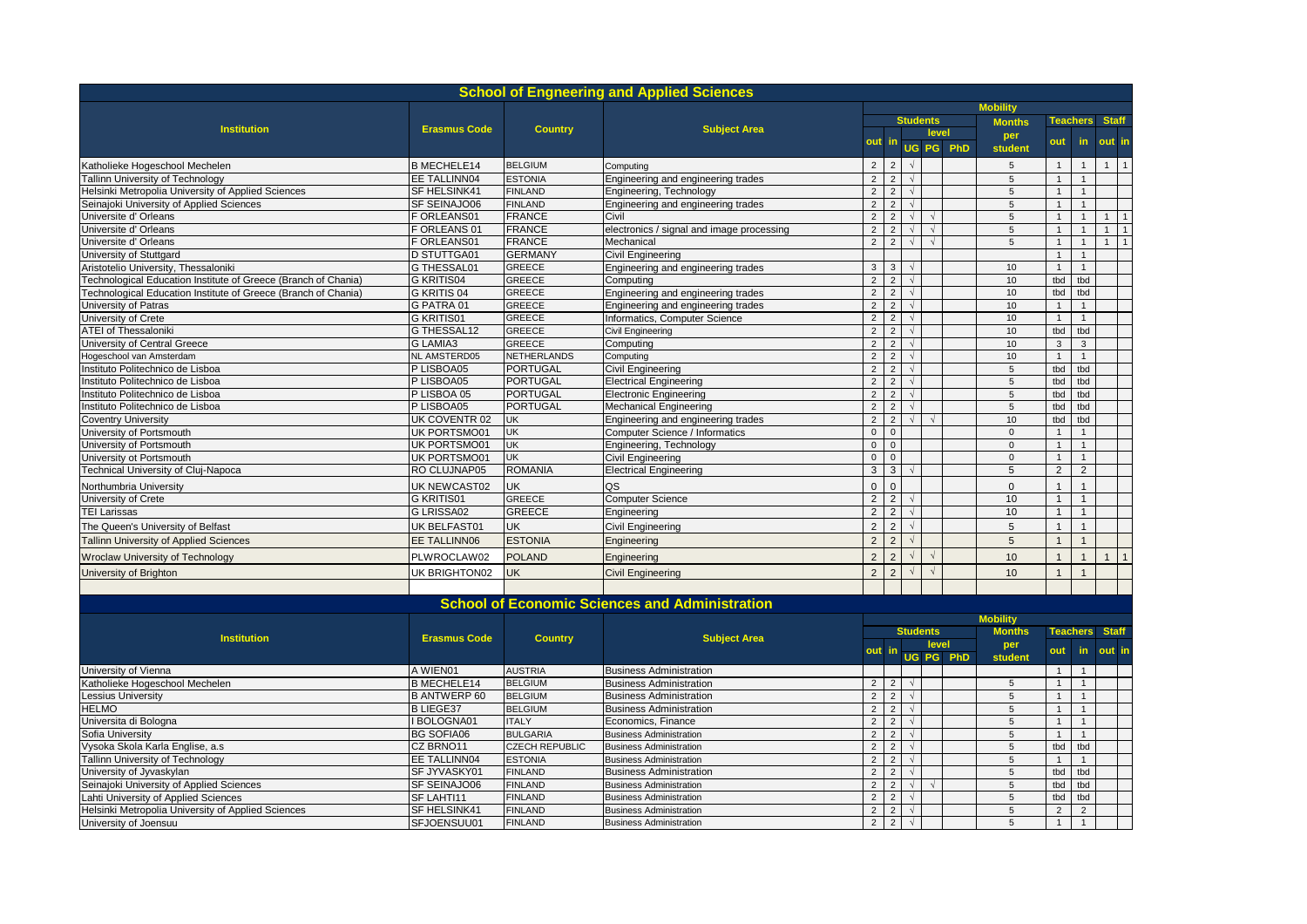|                                                                |                     |                       | <b>School of Engneering and Applied Sciences</b>      |                |                |                 |                 |           |                 |                |                 |                 |                |  |  |  |  |  |  |  |  |  |  |  |  |  |  |  |  |               |  |                 |              |  |
|----------------------------------------------------------------|---------------------|-----------------------|-------------------------------------------------------|----------------|----------------|-----------------|-----------------|-----------|-----------------|----------------|-----------------|-----------------|----------------|--|--|--|--|--|--|--|--|--|--|--|--|--|--|--|--|---------------|--|-----------------|--------------|--|
|                                                                |                     |                       |                                                       |                |                | <b>Mobility</b> |                 |           |                 |                |                 |                 |                |  |  |  |  |  |  |  |  |  |  |  |  |  |  |  |  |               |  |                 |              |  |
| <b>Institution</b>                                             | <b>Erasmus Code</b> | <b>Country</b>        | <b>Subject Area</b>                                   |                |                |                 | <b>Students</b> |           | <b>Months</b>   |                | <b>Teachers</b> | <b>Staff</b>    |                |  |  |  |  |  |  |  |  |  |  |  |  |  |  |  |  |               |  |                 |              |  |
|                                                                |                     |                       |                                                       | out            | -in            |                 | level           |           | per             | out            | in.             | out in          |                |  |  |  |  |  |  |  |  |  |  |  |  |  |  |  |  |               |  |                 |              |  |
|                                                                |                     |                       |                                                       |                |                |                 |                 | UG PG PhD | student         |                |                 |                 |                |  |  |  |  |  |  |  |  |  |  |  |  |  |  |  |  |               |  |                 |              |  |
| Katholieke Hogeschool Mechelen                                 | <b>B MECHELE14</b>  | <b>BELGIUM</b>        | Computing                                             | $\overline{2}$ | $\overline{2}$ | $\sqrt{ }$      |                 |           | 5               | $\overline{1}$ | $\overline{1}$  | 1               | $\overline{1}$ |  |  |  |  |  |  |  |  |  |  |  |  |  |  |  |  |               |  |                 |              |  |
| Tallinn University of Technology                               | EE TALLINN04        | <b>ESTONIA</b>        | Engineering and engineering trades                    | $\overline{2}$ | 2              | $\sqrt{ }$      |                 |           | 5               | $\overline{1}$ | $\mathbf{1}$    |                 |                |  |  |  |  |  |  |  |  |  |  |  |  |  |  |  |  |               |  |                 |              |  |
| Helsinki Metropolia University of Applied Sciences             | SF HELSINK41        | <b>FINLAND</b>        | Engineering, Technology                               | $\overline{2}$ | $\overline{2}$ | $\sqrt{ }$      |                 |           | $\sqrt{5}$      | $\overline{1}$ | $\mathbf{1}$    |                 |                |  |  |  |  |  |  |  |  |  |  |  |  |  |  |  |  |               |  |                 |              |  |
| Seinajoki University of Applied Sciences                       | SF SEINAJO06        | <b>FINLAND</b>        | Engineering and engineering trades                    | $\overline{2}$ | $\overline{2}$ | $\sqrt{ }$      |                 |           | 5               | $\mathbf{1}$   | $\mathbf{1}$    |                 |                |  |  |  |  |  |  |  |  |  |  |  |  |  |  |  |  |               |  |                 |              |  |
| Universite d' Orleans                                          | F ORLEANS01         | <b>FRANCE</b>         | Civil                                                 | $\overline{2}$ | $\overline{2}$ | $\sqrt{ }$      |                 |           | $\overline{5}$  | $\overline{1}$ | $\mathbf{1}$    |                 | $\mathbf{1}$   |  |  |  |  |  |  |  |  |  |  |  |  |  |  |  |  |               |  |                 |              |  |
| Universite d' Orleans                                          | F ORLEANS 01        | <b>FRANCE</b>         | electronics / signal and image processing             | $\overline{2}$ | $\overline{2}$ |                 | $\sqrt{ }$      |           | 5               | $\mathbf{1}$   | $\mathbf{1}$    | 1               | $\overline{1}$ |  |  |  |  |  |  |  |  |  |  |  |  |  |  |  |  |               |  |                 |              |  |
| Universite d' Orleans                                          | F ORLEANS01         | <b>FRANCE</b>         | Mechanical                                            | $\overline{2}$ | $\overline{2}$ | $\sqrt{ }$      | $\sqrt{ }$      |           | 5               | $\mathbf{1}$   | $\mathbf{1}$    | $\mathbf{1}$    | $\overline{1}$ |  |  |  |  |  |  |  |  |  |  |  |  |  |  |  |  |               |  |                 |              |  |
| University of Stuttgard                                        | <b>D STUTTGA01</b>  | <b>GERMANY</b>        | <b>Civil Engineering</b>                              |                |                |                 |                 |           |                 | $\overline{1}$ | $\mathbf{1}$    |                 |                |  |  |  |  |  |  |  |  |  |  |  |  |  |  |  |  |               |  |                 |              |  |
| Aristotelio University, Thessaloniki                           | G THESSAL01         | <b>GREECE</b>         | Engineering and engineering trades                    | $\mathbf{3}$   | $\mathbf{3}$   | $\sqrt{ }$      |                 |           | 10              | $\mathbf{1}$   | $\mathbf{1}$    |                 |                |  |  |  |  |  |  |  |  |  |  |  |  |  |  |  |  |               |  |                 |              |  |
| Technological Education Institute of Greece (Branch of Chania) | <b>G KRITIS04</b>   | <b>GREECE</b>         | Computing                                             | $\overline{2}$ | $\overline{2}$ |                 |                 |           | 10              | tbd            | tbd             |                 |                |  |  |  |  |  |  |  |  |  |  |  |  |  |  |  |  |               |  |                 |              |  |
| Technological Education Institute of Greece (Branch of Chania) | G KRITIS 04         | <b>GREECE</b>         | Engineering and engineering trades                    | $\overline{2}$ | $\overline{2}$ | $\sqrt{ }$      |                 |           | 10              | tbd            | tbd             |                 |                |  |  |  |  |  |  |  |  |  |  |  |  |  |  |  |  |               |  |                 |              |  |
| University of Patras                                           | G PATRA 01          | <b>GREECE</b>         | Engineering and engineering trades                    | $\overline{2}$ | $\overline{2}$ | $\sqrt{ }$      |                 |           | 10 <sup>1</sup> | $\overline{1}$ | $\overline{1}$  |                 |                |  |  |  |  |  |  |  |  |  |  |  |  |  |  |  |  |               |  |                 |              |  |
| University of Crete                                            | <b>G KRITIS01</b>   | <b>GREECE</b>         | Informatics, Computer Science                         | $\overline{2}$ | $\overline{2}$ | $\sqrt{ }$      |                 |           | 10              | $\overline{1}$ | $\overline{1}$  |                 |                |  |  |  |  |  |  |  |  |  |  |  |  |  |  |  |  |               |  |                 |              |  |
| <b>ATEI of Thessaloniki</b>                                    | <b>G THESSAL12</b>  | <b>GREECE</b>         | Civil Engineering                                     | $\overline{2}$ | $\overline{2}$ | $\sqrt{ }$      |                 |           | 10              | tbd            | tbd             |                 |                |  |  |  |  |  |  |  |  |  |  |  |  |  |  |  |  |               |  |                 |              |  |
| University of Central Greece                                   | <b>G LAMIA3</b>     | <b>GREECE</b>         | Computing                                             | $\overline{2}$ | 2              | $\sqrt{ }$      |                 |           | 10              | $\mathbf{3}$   | $\mathbf{3}$    |                 |                |  |  |  |  |  |  |  |  |  |  |  |  |  |  |  |  |               |  |                 |              |  |
| Hogeschool van Amsterdam                                       | NL AMSTERD05        | <b>NETHERLANDS</b>    | Computing                                             | $\overline{2}$ | $\overline{2}$ | $\sqrt{ }$      |                 |           | 10              | $\mathbf{1}$   | $\mathbf{1}$    |                 |                |  |  |  |  |  |  |  |  |  |  |  |  |  |  |  |  |               |  |                 |              |  |
| Instituto Politechnico de Lisboa                               | P LISBOA05          | <b>PORTUGAL</b>       | <b>Civil Engineering</b>                              | $\overline{2}$ | $\overline{2}$ | $\sqrt{ }$      |                 |           | 5               | tbd            | tbd             |                 |                |  |  |  |  |  |  |  |  |  |  |  |  |  |  |  |  |               |  |                 |              |  |
| Instituto Politechnico de Lisboa                               | P LISBOA05          | <b>PORTUGAL</b>       | <b>Electrical Engineering</b>                         | $\overline{2}$ | 2              | $\sqrt{ }$      |                 |           | 5               | tbd            | thd             |                 |                |  |  |  |  |  |  |  |  |  |  |  |  |  |  |  |  |               |  |                 |              |  |
| Instituto Politechnico de Lisboa                               | P LISBOA 05         | <b>PORTUGAL</b>       | <b>Electronic Engineering</b>                         | $\overline{2}$ | 2              | $\sqrt{ }$      |                 |           | 5               | tbd            | tbd             |                 |                |  |  |  |  |  |  |  |  |  |  |  |  |  |  |  |  |               |  |                 |              |  |
| Instituto Politechnico de Lisboa                               | P LISBOA05          | <b>PORTUGAL</b>       | <b>Mechanical Engineering</b>                         | $\overline{2}$ | $\overline{2}$ | $\sqrt{ }$      |                 |           | $5\phantom{.0}$ | tbd            | tbd             |                 |                |  |  |  |  |  |  |  |  |  |  |  |  |  |  |  |  |               |  |                 |              |  |
| <b>Coventry University</b>                                     | UK COVENTR 02       | <b>UK</b>             | Engineering and engineering trades                    | $\overline{2}$ | $\overline{2}$ | $\sqrt{ }$      | $\sqrt{ }$      |           | 10              | tbd            | tbd             |                 |                |  |  |  |  |  |  |  |  |  |  |  |  |  |  |  |  |               |  |                 |              |  |
| University of Portsmouth                                       | UK PORTSMO01        | UK                    | Computer Science / Informatics                        | $\mathbf 0$    | $\Omega$       |                 |                 |           | $\mathsf 0$     | $\overline{1}$ | 1               |                 |                |  |  |  |  |  |  |  |  |  |  |  |  |  |  |  |  |               |  |                 |              |  |
| University of Portsmouth                                       | UK PORTSMO01        | <b>UK</b>             | Engineering, Technology                               | $\mathbf{0}$   | $\mathbf{0}$   |                 |                 |           | $\mathsf 0$     | $\overline{1}$ | $\mathbf{1}$    |                 |                |  |  |  |  |  |  |  |  |  |  |  |  |  |  |  |  |               |  |                 |              |  |
| University ot Portsmouth                                       | UK PORTSMO01        | UK                    | <b>Civil Engineering</b>                              | $\mathbf 0$    | $\Omega$       |                 |                 |           | $\mathsf 0$     | $\mathbf{1}$   | $\mathbf{1}$    |                 |                |  |  |  |  |  |  |  |  |  |  |  |  |  |  |  |  |               |  |                 |              |  |
| Technical University of Cluj-Napoca                            | RO CLUJNAP05        | <b>ROMANIA</b>        | <b>Electrical Engineering</b>                         | 3              | 3              |                 |                 |           | 5               | $\overline{2}$ | 2               |                 |                |  |  |  |  |  |  |  |  |  |  |  |  |  |  |  |  |               |  |                 |              |  |
| Northumbria University                                         | <b>UK NEWCAST02</b> | <b>UK</b>             | QS                                                    | $\Omega$       | $\Omega$       |                 |                 |           | $\Omega$        | $\overline{1}$ | $\mathbf{1}$    |                 |                |  |  |  |  |  |  |  |  |  |  |  |  |  |  |  |  |               |  |                 |              |  |
| University of Crete                                            | G KRITIS01          | <b>GREECE</b>         | <b>Computer Science</b>                               | $\overline{2}$ | 2              | $\sqrt{ }$      |                 |           | 10              | $\mathbf{1}$   | $\mathbf{1}$    |                 |                |  |  |  |  |  |  |  |  |  |  |  |  |  |  |  |  |               |  |                 |              |  |
| <b>TEI Larissas</b>                                            | G LRISSA02          | <b>GREECE</b>         | Engineering                                           | $\overline{2}$ | 2              | $\sqrt{ }$      |                 |           | 10              | $\overline{1}$ | $\mathbf{1}$    |                 |                |  |  |  |  |  |  |  |  |  |  |  |  |  |  |  |  |               |  |                 |              |  |
| The Queen's University of Belfast                              | UK BELFAST01        | UK                    | <b>Civil Engineering</b>                              | $\overline{2}$ | $\overline{2}$ | $\sqrt{ }$      |                 |           | 5               | $\overline{1}$ | $\overline{1}$  |                 |                |  |  |  |  |  |  |  |  |  |  |  |  |  |  |  |  |               |  |                 |              |  |
| <b>Tallinn University of Applied Sciences</b>                  | EE TALLINN06        | <b>ESTONIA</b>        | Engineering                                           | $\overline{2}$ | $\overline{2}$ | $\sqrt{ }$      |                 |           | 5               | $\overline{1}$ | $\mathbf{1}$    |                 |                |  |  |  |  |  |  |  |  |  |  |  |  |  |  |  |  |               |  |                 |              |  |
|                                                                |                     |                       |                                                       |                |                |                 | $\sqrt{ }$      |           |                 |                |                 |                 |                |  |  |  |  |  |  |  |  |  |  |  |  |  |  |  |  |               |  |                 |              |  |
| <b>Wroclaw University of Technology</b>                        | PLWROCLAW02         | <b>POLAND</b>         | Engineering                                           | $\overline{2}$ | $\overline{2}$ |                 |                 |           | 10              | $\overline{1}$ | $\mathbf{1}$    | 1               | $\overline{1}$ |  |  |  |  |  |  |  |  |  |  |  |  |  |  |  |  |               |  |                 |              |  |
| University of Brighton                                         | UK BRIGHTON02       | <b>UK</b>             | <b>Civil Engineering</b>                              | $\overline{2}$ | $\overline{2}$ |                 | $\sqrt{ }$      |           | 10              | $\overline{1}$ | $\overline{1}$  |                 |                |  |  |  |  |  |  |  |  |  |  |  |  |  |  |  |  |               |  |                 |              |  |
|                                                                |                     |                       |                                                       |                |                |                 |                 |           |                 |                |                 |                 |                |  |  |  |  |  |  |  |  |  |  |  |  |  |  |  |  |               |  |                 |              |  |
|                                                                |                     |                       | <b>School of Economic Sciences and Administration</b> |                |                |                 |                 |           |                 |                |                 |                 |                |  |  |  |  |  |  |  |  |  |  |  |  |  |  |  |  |               |  |                 |              |  |
|                                                                |                     |                       |                                                       |                |                |                 |                 |           | <b>Mobility</b> |                |                 |                 |                |  |  |  |  |  |  |  |  |  |  |  |  |  |  |  |  |               |  |                 |              |  |
|                                                                |                     |                       |                                                       |                |                |                 |                 |           |                 |                |                 | <b>Students</b> |                |  |  |  |  |  |  |  |  |  |  |  |  |  |  |  |  | <b>Months</b> |  | <b>Teachers</b> | <b>Staff</b> |  |
| <b>Institution</b>                                             | <b>Erasmus Code</b> | <b>Country</b>        | <b>Subject Area</b>                                   |                |                |                 | level           |           | per             |                |                 |                 |                |  |  |  |  |  |  |  |  |  |  |  |  |  |  |  |  |               |  |                 |              |  |
|                                                                |                     |                       |                                                       | out            |                |                 |                 | UG PG PhD | student         | out            | in.             | out ir          |                |  |  |  |  |  |  |  |  |  |  |  |  |  |  |  |  |               |  |                 |              |  |
| University of Vienna                                           | A WIEN01            | <b>AUSTRIA</b>        | <b>Business Administration</b>                        |                |                |                 |                 |           |                 | $\overline{1}$ | $\mathbf{1}$    |                 |                |  |  |  |  |  |  |  |  |  |  |  |  |  |  |  |  |               |  |                 |              |  |
| Katholieke Hogeschool Mechelen                                 | <b>B MECHELE14</b>  | <b>BELGIUM</b>        | <b>Business Administration</b>                        | $\overline{2}$ | 2              | $\sqrt{ }$      |                 |           | 5               | $\overline{1}$ | $\mathbf{1}$    |                 |                |  |  |  |  |  |  |  |  |  |  |  |  |  |  |  |  |               |  |                 |              |  |
| Lessius University                                             | <b>B ANTWERP 60</b> | <b>BELGIUM</b>        | <b>Business Administration</b>                        | $\overline{2}$ | $\overline{2}$ | $\sqrt{ }$      |                 |           | $\overline{5}$  | $\mathbf{1}$   | $\mathbf{1}$    |                 |                |  |  |  |  |  |  |  |  |  |  |  |  |  |  |  |  |               |  |                 |              |  |
| <b>HELMO</b>                                                   | <b>B LIEGE37</b>    | <b>BELGIUM</b>        | <b>Business Administration</b>                        | $\overline{2}$ | 2              | $\sqrt{ }$      |                 |           | $5\overline{5}$ | $\mathbf{1}$   | $\overline{1}$  |                 |                |  |  |  |  |  |  |  |  |  |  |  |  |  |  |  |  |               |  |                 |              |  |
| Universita di Bologna                                          | <b>BOLOGNA01</b>    | <b>ITALY</b>          | Economics, Finance                                    | $\overline{2}$ | $\overline{2}$ | $\sqrt{ }$      |                 |           | 5               | $\mathbf{1}$   | $\overline{1}$  |                 |                |  |  |  |  |  |  |  |  |  |  |  |  |  |  |  |  |               |  |                 |              |  |
| Sofia University                                               | <b>BG SOFIA06</b>   | <b>BULGARIA</b>       | <b>Business Administration</b>                        | $\overline{2}$ | 2              | $\sqrt{ }$      |                 |           | 5               | $\overline{1}$ | $\mathbf{1}$    |                 |                |  |  |  |  |  |  |  |  |  |  |  |  |  |  |  |  |               |  |                 |              |  |
| Vysoka Skola Karla Englise, a.s                                | CZ BRNO11           | <b>CZECH REPUBLIC</b> | <b>Business Administration</b>                        | $\overline{2}$ | 2              | $\sqrt{ }$      |                 |           | 5               | tbd            | tbd             |                 |                |  |  |  |  |  |  |  |  |  |  |  |  |  |  |  |  |               |  |                 |              |  |
| Tallinn University of Technology                               | EE TALLINN04        | <b>ESTONIA</b>        | <b>Business Administration</b>                        | $\overline{2}$ | 2              | $\sqrt{ }$      |                 |           | 5               | $\mathbf{1}$   | $\overline{1}$  |                 |                |  |  |  |  |  |  |  |  |  |  |  |  |  |  |  |  |               |  |                 |              |  |
| University of Jyvaskylan                                       | SF JYVASKY01        | <b>FINLAND</b>        | <b>Business Administration</b>                        | $\overline{2}$ | 2              | $\sqrt{ }$      |                 |           | 5               | tbd            | tbd             |                 |                |  |  |  |  |  |  |  |  |  |  |  |  |  |  |  |  |               |  |                 |              |  |
| Seinajoki University of Applied Sciences                       | SF SEINAJO06        | <b>FINLAND</b>        | <b>Business Administration</b>                        | $\overline{2}$ | 2              | $\sqrt{ }$      |                 |           | 5               | tbd            | tbd             |                 |                |  |  |  |  |  |  |  |  |  |  |  |  |  |  |  |  |               |  |                 |              |  |
| Lahti University of Applied Sciences                           | SF LAHTI11          | <b>FINLAND</b>        | <b>Business Administration</b>                        | $\overline{2}$ | 2              | $\sqrt{ }$      |                 |           | 5               | tbd            | tbd             |                 |                |  |  |  |  |  |  |  |  |  |  |  |  |  |  |  |  |               |  |                 |              |  |
| Helsinki Metropolia University of Applied Sciences             | SF HELSINK41        | <b>FINLAND</b>        | <b>Business Administration</b>                        | $\overline{2}$ | 2              | $\sqrt{ }$      |                 |           | 5               | 2              | 2               |                 |                |  |  |  |  |  |  |  |  |  |  |  |  |  |  |  |  |               |  |                 |              |  |
| University of Joensuu                                          | SFJOENSUU01         | <b>FINLAND</b>        | <b>Business Administration</b>                        | $\overline{2}$ | $\overline{2}$ | $\sqrt{ }$      |                 |           | 5               | $\mathbf{1}$   |                 |                 |                |  |  |  |  |  |  |  |  |  |  |  |  |  |  |  |  |               |  |                 |              |  |
|                                                                |                     |                       |                                                       |                |                |                 |                 |           |                 |                |                 |                 |                |  |  |  |  |  |  |  |  |  |  |  |  |  |  |  |  |               |  |                 |              |  |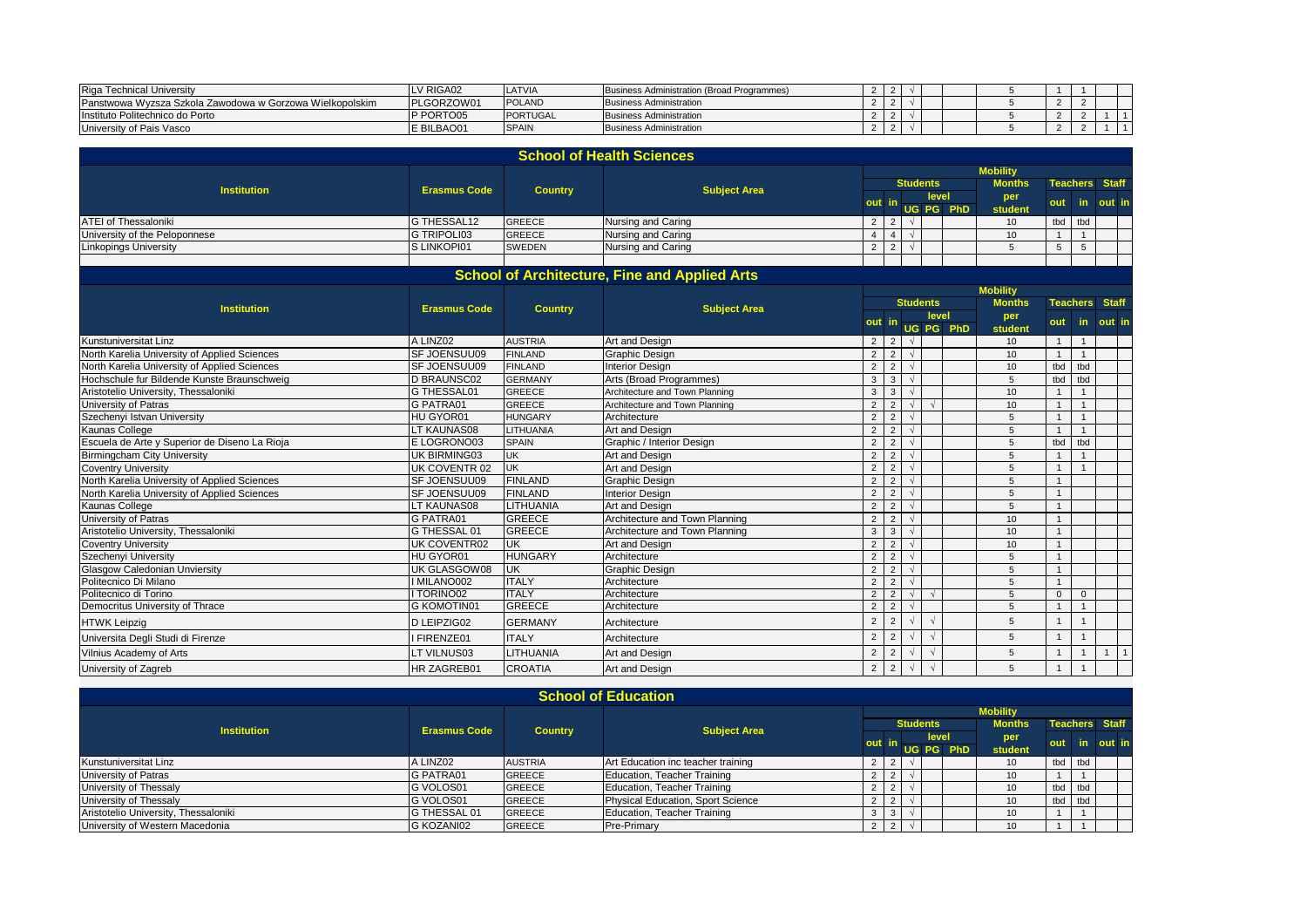| Riga<br>ւ Technical Universitv                           | LV RIGA02  | ILA I VIA           | Business Administration (Broad Programmes) |  |  |  |  |  |
|----------------------------------------------------------|------------|---------------------|--------------------------------------------|--|--|--|--|--|
| Panstwowa Wyzsza Szkola Zawodowa w Gorzowa Wielkopolskim | PLGORZOW0  | <b>OLAND</b><br>Inc | <b>Business Administration</b>             |  |  |  |  |  |
| Instituto Politechnico do Porto                          | P PORTO05  | PORTUGAL            | <b>Business Administration</b>             |  |  |  |  |  |
| University of Pais Vasco                                 | E BILBAO01 | <b>SPAIN</b>        | <b>Business Administration</b>             |  |  |  |  |  |

|                                               |                     |                  | <b>School of Health Sciences</b>                     |                |                |                 |            |                 |                            |                |                 |                                |  |  |  |  |
|-----------------------------------------------|---------------------|------------------|------------------------------------------------------|----------------|----------------|-----------------|------------|-----------------|----------------------------|----------------|-----------------|--------------------------------|--|--|--|--|
|                                               |                     |                  |                                                      |                |                |                 |            | <b>Mobility</b> |                            |                |                 |                                |  |  |  |  |
| <b>Institution</b>                            | <b>Erasmus Code</b> | <b>Country</b>   | <b>Subject Area</b>                                  |                |                | <b>Students</b> |            |                 | <b>Months</b>              |                | <b>Teachers</b> | <b>Staff</b>                   |  |  |  |  |
|                                               |                     |                  |                                                      |                |                |                 | level      |                 | per                        | out            | in.             | out in                         |  |  |  |  |
|                                               |                     |                  |                                                      |                |                |                 |            | UG PG PhD       | student                    |                |                 |                                |  |  |  |  |
| <b>ATEI of Thessaloniki</b>                   | G THESSAL12         | <b>GREECE</b>    | Nursing and Caring                                   | $\overline{2}$ | 2 <sup>1</sup> | $\sqrt{ }$      |            |                 | 10                         | tbd            | tbd             |                                |  |  |  |  |
| University of the Peloponnese                 | <b>G TRIPOLI03</b>  | <b>GREECE</b>    | Nursing and Caring                                   | $\overline{4}$ | $\overline{4}$ |                 |            |                 | 10                         | $\overline{1}$ | $\overline{1}$  |                                |  |  |  |  |
| Linkopings University                         | S LINKOPI01         | SWEDEN           | Nursing and Caring                                   | $\overline{2}$ | 2              | $\sqrt{ }$      |            |                 | 5                          | 5              | $5\phantom{.0}$ |                                |  |  |  |  |
|                                               |                     |                  |                                                      |                |                |                 |            |                 |                            |                |                 |                                |  |  |  |  |
|                                               |                     |                  | <b>School of Architecture, Fine and Applied Arts</b> |                |                |                 |            |                 |                            |                |                 |                                |  |  |  |  |
|                                               |                     |                  |                                                      |                |                |                 |            |                 | <b>Mobility</b>            |                |                 |                                |  |  |  |  |
| <b>Institution</b>                            | <b>Erasmus Code</b> | <b>Country</b>   | <b>Subject Area</b>                                  |                |                | <b>Students</b> |            |                 | <b>Months</b>              |                | <b>Teachers</b> | <b>Staff</b>                   |  |  |  |  |
|                                               |                     |                  |                                                      |                | out            |                 | level      | UG PG PhD       | per                        | out            | in.             | out in                         |  |  |  |  |
| <b>Kunstuniversitat Linz</b>                  | A LINZ02            | <b>AUSTRIA</b>   | Art and Design                                       | $\overline{2}$ | 2              | $\sqrt{ }$      |            |                 | student<br>10 <sup>°</sup> | $\overline{1}$ | $\overline{1}$  |                                |  |  |  |  |
| North Karelia University of Applied Sciences  | SF JOENSUU09        | <b>FINLAND</b>   | <b>Graphic Design</b>                                | $\overline{2}$ | $\overline{2}$ | $\sqrt{ }$      |            |                 | 10                         | $\overline{1}$ | $\mathbf{1}$    |                                |  |  |  |  |
| North Karelia University of Applied Sciences  | SF JOENSUU09        | <b>FINLAND</b>   | <b>Interior Design</b>                               | $\overline{2}$ | $\overline{2}$ | $\sqrt{ }$      |            |                 | 10                         | tbd            | tbd             |                                |  |  |  |  |
| Hochschule fur Bildende Kunste Braunschweig   | <b>D BRAUNSC02</b>  | <b>GERMANY</b>   | Arts (Broad Programmes)                              | 3              | $\overline{3}$ | $\sqrt{ }$      |            |                 | 5                          | tbd            | tbd             |                                |  |  |  |  |
| Aristotelio University, Thessaloniki          | <b>G THESSAL01</b>  | <b>GREECE</b>    | Architecture and Town Planning                       | $\mathbf{3}$   | $\overline{3}$ | $\sqrt{ }$      |            |                 | 10                         | $\overline{1}$ | $\overline{1}$  |                                |  |  |  |  |
| University of Patras                          | G PATRA01           | <b>GREECE</b>    | Architecture and Town Planning                       | 2              | $\overline{2}$ |                 |            |                 | 10                         | $\overline{1}$ | $\overline{1}$  |                                |  |  |  |  |
| Szechenyi Istvan University                   | HU GYOR01           | <b>HUNGARY</b>   | Architecture                                         | $\overline{2}$ | $\overline{2}$ |                 |            |                 | 5                          | $\overline{1}$ | $\overline{1}$  |                                |  |  |  |  |
| Kaunas College                                | LT KAUNAS08         | <b>LITHUANIA</b> | Art and Design                                       | $\overline{2}$ | $\overline{2}$ |                 |            |                 | 5                          | $\overline{1}$ | $\overline{1}$  |                                |  |  |  |  |
| Escuela de Arte y Superior de Diseno La Rioja | E LOGRONO03         | <b>SPAIN</b>     | Graphic / Interior Design                            | $\overline{2}$ | $\overline{2}$ | $\sqrt{ }$      |            |                 | 5                          | tbd            | tbd             |                                |  |  |  |  |
| <b>Birmingcham City University</b>            | UK BIRMING03        | <b>UK</b>        | Art and Design                                       | $\overline{2}$ | $\overline{2}$ | $\sqrt{ }$      |            |                 | 5                          | $\overline{1}$ | $\overline{1}$  |                                |  |  |  |  |
| <b>Coventry University</b>                    | UK COVENTR 02       | <b>UK</b>        | Art and Design                                       | $\overline{2}$ | $\overline{2}$ |                 |            |                 | 5                          | $\overline{1}$ | $\overline{1}$  |                                |  |  |  |  |
| North Karelia University of Applied Sciences  | SF JOENSUU09        | <b>FINLAND</b>   | Graphic Design                                       | $\overline{2}$ | $\overline{2}$ | $\sqrt{ }$      |            |                 | 5                          | $\overline{1}$ |                 |                                |  |  |  |  |
| North Karelia University of Applied Sciences  | SF JOENSUU09        | <b>FINLAND</b>   | <b>Interior Design</b>                               | $\overline{2}$ | $\overline{2}$ |                 |            |                 | 5                          | $\overline{1}$ |                 |                                |  |  |  |  |
| Kaunas College                                | <b>LT KAUNAS08</b>  | LITHUANIA        | Art and Design                                       | $\overline{2}$ | 2              | $\sqrt{ }$      |            |                 | 5                          | $\overline{1}$ |                 |                                |  |  |  |  |
| University of Patras                          | G PATRA01           | <b>GREECE</b>    | Architecture and Town Planning                       | $\overline{2}$ | $\overline{2}$ |                 |            |                 | 10 <sup>10</sup>           | $\overline{1}$ |                 |                                |  |  |  |  |
| Aristotelio University, Thessaloniki          | G THESSAL 01        | <b>GREECE</b>    | Architecture and Town Planning                       | 3              | $\overline{3}$ | $\sqrt{ }$      |            |                 | 10                         | $\overline{1}$ |                 |                                |  |  |  |  |
| <b>Coventry University</b>                    | <b>UK COVENTR02</b> | <b>UK</b>        | Art and Design                                       | $\overline{2}$ | $\overline{2}$ | $\sqrt{ }$      |            |                 | 10                         | $\overline{1}$ |                 |                                |  |  |  |  |
| Szechenyi University                          | HU GYOR01           | <b>HUNGARY</b>   | Architecture                                         | $\overline{2}$ | 2              | $\sqrt{ }$      |            |                 | 5                          | $\overline{1}$ |                 |                                |  |  |  |  |
| <b>Glasgow Caledonian Unviersity</b>          | UK GLASGOW08        | <b>UK</b>        | <b>Graphic Design</b>                                | $\overline{2}$ | 2              | $\sqrt{ }$      |            |                 | 5                          | $\overline{1}$ |                 |                                |  |  |  |  |
| Politecnico Di Milano                         | I MILANO002         | <b>ITALY</b>     | Architecture                                         | 2              | $\overline{2}$ |                 |            |                 | 5                          | $\overline{1}$ |                 |                                |  |  |  |  |
| Politecnico di Torino                         | I TORINO02          | <b>ITALY</b>     | Architecture                                         | $\overline{2}$ | 2              | $\sqrt{ }$      | $\sqrt{ }$ |                 | 5                          | $\mathbf{0}$   | $\mathbf 0$     |                                |  |  |  |  |
| Democritus University of Thrace               | <b>G KOMOTIN01</b>  | <b>GREECE</b>    | Architecture                                         | $\overline{2}$ | $\overline{2}$ | $\sqrt{ }$      |            |                 | 5                          | $\overline{1}$ | $\overline{1}$  |                                |  |  |  |  |
| <b>HTWK Leipzig</b>                           | D LEIPZIG02         | <b>GERMANY</b>   | Architecture                                         | $\overline{2}$ | $\overline{2}$ |                 | $\sqrt{ }$ |                 | 5                          | $\mathbf{1}$   | $\overline{1}$  |                                |  |  |  |  |
| Universita Degli Studi di Firenze             | I FIRENZE01         | <b>ITALY</b>     | Architecture                                         | $\overline{2}$ | $\overline{2}$ | $\sqrt{ }$      | $\sim$     |                 | 5                          | $\overline{1}$ | $\overline{1}$  |                                |  |  |  |  |
| Vilnius Academy of Arts                       | LT VILNUS03         | LITHUANIA        | Art and Design                                       | $\overline{2}$ | $\overline{2}$ |                 |            |                 | 5                          | $\overline{1}$ | $\mathbf{1}$    | $\overline{1}$<br>$\mathbf{1}$ |  |  |  |  |
| University of Zagreb                          | HR ZAGREB01         | <b>CROATIA</b>   | Art and Design                                       | $\overline{2}$ | $\overline{2}$ |                 | $\sqrt{ }$ |                 | 5                          | $\mathbf{1}$   | $\overline{1}$  |                                |  |  |  |  |

| <b>School of Education</b>           |                     |                |                                    |                |                 |  |       |           |                 |      |         |               |  |  |                       |
|--------------------------------------|---------------------|----------------|------------------------------------|----------------|-----------------|--|-------|-----------|-----------------|------|---------|---------------|--|--|-----------------------|
|                                      |                     |                |                                    |                |                 |  |       |           | <b>Mobility</b> |      |         |               |  |  |                       |
| <b>Institution</b>                   | <b>Erasmus Code</b> | <b>Country</b> | <b>Subject Area</b>                |                | <b>Students</b> |  |       |           |                 |      |         | <b>Months</b> |  |  | <b>Teachers Staff</b> |
|                                      |                     |                |                                    | out i          |                 |  | level |           | per             | out. | in.     | out in        |  |  |                       |
|                                      |                     |                |                                    |                |                 |  |       | UG PG PhD | student         |      |         |               |  |  |                       |
| Kunstuniversitat Linz                | A LINZ02            | <b>AUSTRIA</b> | Art Education inc teacher training | 2              |                 |  |       |           | 10              |      | tbd tbd |               |  |  |                       |
| University of Patras                 | G PATRA01           | <b>GREECE</b>  | Education, Teacher Training        |                |                 |  |       |           | 10              |      |         |               |  |  |                       |
| University of Thessaly               | G VOLOS01           | <b>GREECE</b>  | Education, Teacher Training        | 2 <sup>1</sup> | $\overline{2}$  |  |       |           | 10 <sup>1</sup> |      | tbd tbd |               |  |  |                       |
| University of Thessaly               | <b>G VOLOS01</b>    | <b>GREECE</b>  | Physical Education, Sport Science  |                |                 |  |       |           | 10              |      | tbd tbd |               |  |  |                       |
| Aristotelio University, Thessaloniki | <b>G THESSAL 01</b> | <b>GREECE</b>  | Education, Teacher Training        | 3              | $\mathbf{3}$    |  |       |           | 10 <sup>1</sup> |      |         |               |  |  |                       |
| University of Western Macedonia      | G KOZANI02          | <b>GREECE</b>  | <b>Pre-Primary</b>                 |                | 2               |  |       |           | 10 <sup>°</sup> |      |         |               |  |  |                       |